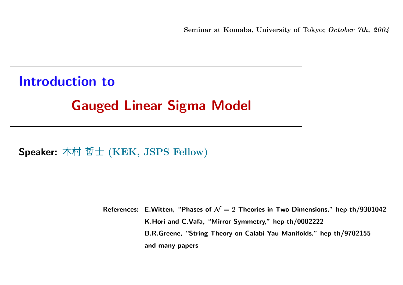Introduction to Gauged Linear Sigma Model

Speaker: 木村 哲士 (KEK, JSPS Fellow)

References: E.Witten, "Phases of  ${\cal N}=2$  Theories in Two Dimensions," hep-th/9301042 K.Hori and C.Vafa, "Mirror Symmetry," hep-th/0002222 B.R.Greene, "String Theory on Calabi-Yau Manifolds," hep-th/9702155 and many papers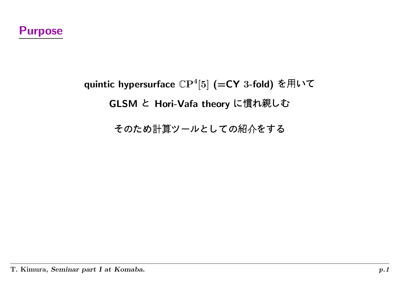# quintic hypersurface  $\mathbb{C}\mathrm{P}^4[5]$  (=CY 3-fold) を用いて GLSM と Hori-Vafa theory に慣れ親しむ

*のため計算*ツールとしての紹介をす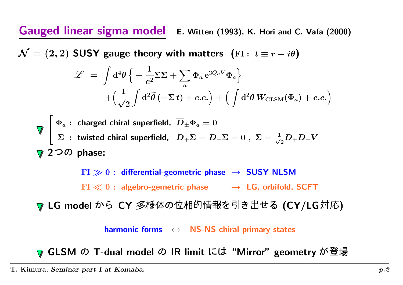Gauged linear sigma model E. Witten (1993), K. Hori and C. Vafa (2000)

 $\mathcal{N} = (2, 2)$  SUSY gauge theory with matters (FI:  $t \equiv r - i\theta$ )

$$
\mathcal{L} = \int d^4 \theta \left\{ -\frac{1}{e^2} \overline{\Sigma} \Sigma + \sum_a \overline{\Phi}_a e^{2Q_a V} \Phi_a \right\} + \left( \frac{1}{\sqrt{2}} \int d^2 \tilde{\theta} \left( -\Sigma t \right) + c.c. \right) + \left( \int d^2 \theta W_{\text{GLSM}}(\Phi_a) + c.c. \right)
$$

$$
\nabla \begin{bmatrix}\n\Phi_a: \text{ charged chiral superfield, } \overline{D}_{\pm} \Phi_a = 0 \\
\Sigma: \text{ twisted chiral superfield, } \overline{D}_{+} \Sigma = D_{-} \Sigma = 0 \,, \ \Sigma = \frac{1}{\sqrt{2}} \overline{D}_{+} D_{-} V \\
\nabla 2 \Im \mathcal{D} \text{ phase:}
$$

 ${\rm FI}\gg 0:$  differential-geometric phase  $\;\rightarrow\;$  SUSY NLSM  $\mathrm{FI} \ll 0$  : algebro-gemetric phase  $\quad \rightarrow \; \mathsf{LG}$ , orbifold, SCFT

LG model から CY 多様体の位相的情報を引き出せる (CY/LG対応)

harmonic forms <sup>↔</sup> NS-NS chiral primary states

GLSM の T-dual model の IR limit には "Mirror" geometry が登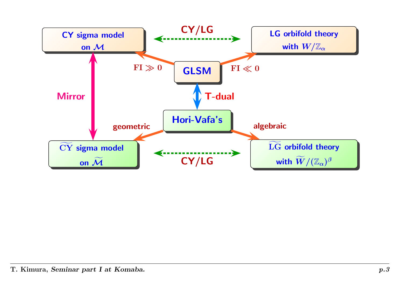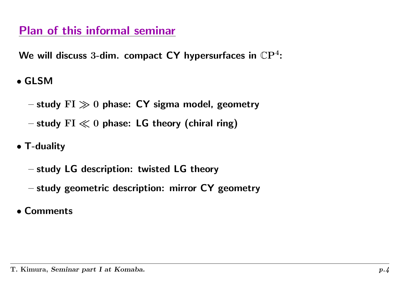## Plan of this informal seminar

We will discuss 3-dim. compact CY hypersurfaces in  $\mathbb{C}\mathrm{P}^4$ :

• GLSM

- $-$  study  ${\rm FI} \gg 0$  phase:  ${\sf CY}$  sigma model, geometry
- $-$  study  $\mathrm{FI}\ll0$  phase: <code>LG</code> theory (chiral ring)
- T-duality
	- $-$  study <code>LG</code> description: twisted <code>LG</code> theory
	- $-$  study geometric description: mirror  ${\sf CY}$  geometry
- Comments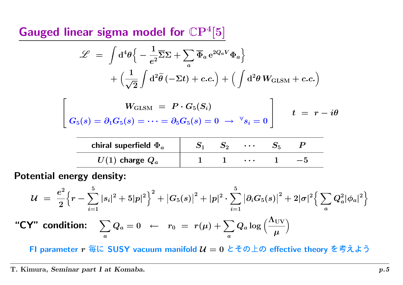Gauged linear sigma model for  $\mathbb{C}P^{4}[5]$ 

$$
\mathcal{L} = \int d^4 \theta \Big\{ -\frac{1}{e^2} \overline{\Sigma} \Sigma + \sum_a \overline{\Phi}_a e^{2Q_a V} \Phi_a \Big\} + \Big(\frac{1}{\sqrt{2}} \int d^2 \widetilde{\theta} (-\Sigma t) + c.c.\Big) + \Big(\int d^2 \theta W_{\text{GLSM}} + c.c.\Big)
$$

$$
\left[ \begin{array}{ccc} & W_{\text{GLSM}}\ =\ P\cdot G_5(S_i) \\ & & \\ G_5(s)=\partial_1 G_5(s)=\cdots=\partial_5 G_5(s)=0 \ \rightarrow\ ^\forall s_i=0 \end{array} \right] \qquad t\ =\ r-i\theta
$$

| chiral superfield $\Phi_a$ |  | $\bullet\quad\bullet\quad\bullet\quad$ |  |  |
|----------------------------|--|----------------------------------------|--|--|
| $U(1)$ charge $Q_a$        |  | $\cdots$                               |  |  |

Potential energy density:

$$
\mathcal{U} = \frac{e^2}{2} \Big\{ r - \sum_{i=1}^5 |s_i|^2 + 5|p|^2 \Big\}^2 + |G_5(s)|^2 + |p|^2 \cdot \sum_{i=1}^5 |\partial_i G_5(s)|^2 + 2|\sigma|^2 \Big\{ \sum_a Q_a^2 |\phi_a|^2 \Big\}
$$
  
"CV" condition:  $\sum_a Q_a = 0 \leftarrow r_0 = r(\mu) + \sum_a Q_a \log \Big( \frac{\Lambda_{\rm UV}}{\mu} \Big)$ 

FI parameter  $r$  毎に <code>SUSY</code> vacuum manifold  $\mathcal{U}=0$  とその上の effective theory を考えよう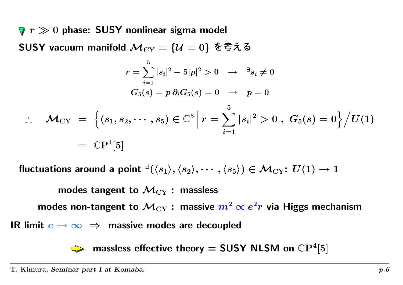$r \gg 0$  phase: <code>SUSY</code> nonlinear sigma model SUSY vacuum manifold  $\mathcal{M}_{\text{CY}}=\{\mathcal{U}=0\}$  を考える

$$
r = \sum_{i=1}^{5} |s_i|^2 - 5|p|^2 > 0 \rightarrow \exists s_i \neq 0
$$
  

$$
G_5(s) = p \partial_i G_5(s) = 0 \rightarrow p = 0
$$
  

$$
\therefore \mathcal{M}_{CY} = \left\{ (s_1, s_2, \cdots, s_5) \in \mathbb{C}^5 \, \middle| \, r = \sum_{i=1}^5 |s_i|^2 > 0 \, , \ G_5(s) = 0 \right\} \Big/ U(1)
$$
  

$$
= \mathbb{C}P^4[5]
$$

fluctuations around a point  $\exists (\langle s_1 \rangle, \langle s_2 \rangle, \cdots, \langle s_5 \rangle) \in \mathcal{M}_{\rm CY}\!\!: U(1) \to 1$ 

modes tangent to  $\mathcal{M}_{\mathrm{CY}}$  : massless

modes non-tangent to  $\mathcal{M}_{\mathrm{CY}}$  : massive  $m^2\propto e^2r$  via Higgs mechanism

IR limit  $e \to \infty \;\Rightarrow\;$  massive modes are decoupled

massless effective theory  $=$  SUSY NLSM on  $\mathbb{C}\mathrm{P}^4[5]$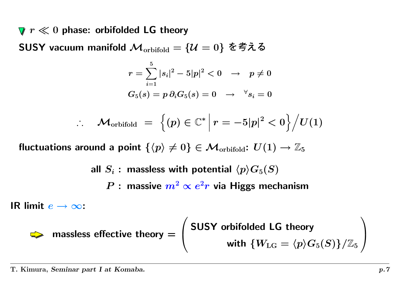$r \ll 0$  phase: orbifolded LG theory

SUSY vacuum manifold  $\mathcal{M}_{\text{orbifold}}=\{\mathcal{U}=0\}$  を考える

$$
\begin{aligned} r &= \sum_{i=1}^5 |s_i|^2 - 5|p|^2 < 0 & \to & p \neq 0 \\ G_5(s) &= p\ \partial_i G_5(s) = 0 & \to & ^\forall s_i = 0 \end{aligned}
$$

$$
\therefore \quad \mathcal{M}_{\text{orbifold}} \;=\; \Big\{ (p) \in \mathbb{C}^* \, \Big| \, r = -5|p|^2 < 0 \Big\} \Big/ U(1)
$$

fluctuations around a point  $\{\langle p\rangle\neq 0\}\in \mathcal{M}_{\rm orbifold}\colon U(1)\to \mathbb{Z}_5$ 

all  $S_i$  : massless with potential  $\langle p\rangle G_5(S)$  $P$  : massive  $m^2 \propto e^2 r$  via Higgs mechanism

IR limit  $e\to\infty$ :

$$
\sum \text{ massless effective theory} = \left( \begin{array}{c} \text{SUSY orbifolded LG theory} \\ \text{with } \{W_{\text{LG}} = \langle p \rangle G_5(S)\} / \mathbb{Z}_5 \end{array} \right)
$$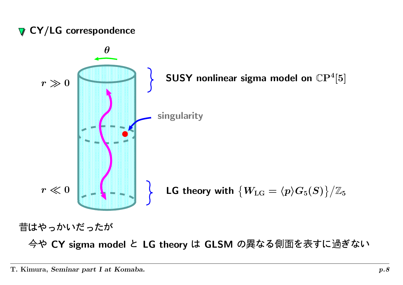## **V** CY/LG correspondence



ハナレト ちんしょ ナジー・ナー ナンチメ

や CY sigma model と LG theory は GLSM の異なる側面を表すに過ぎな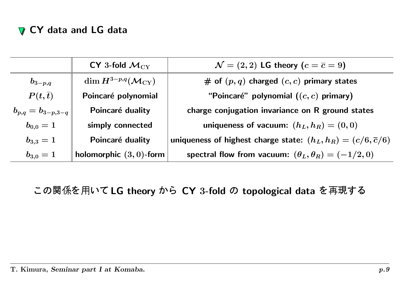### CY data and LG data

|                           | $CY$ 3-fold $M_{CY}$                        | $\mathcal{N}=(2,2)$ LG theory $(c=\overline{c}=9)$                       |
|---------------------------|---------------------------------------------|--------------------------------------------------------------------------|
| $b_{3-p,q}$               | $\dim H^{3-p,q}(\mathcal{M}_{\mathrm{CY}})$ | # of $(p, q)$ charged $(c, c)$ primary states                            |
| $P(t,\overline{t})$       | Poincaré polynomial                         | "Poincaré" polynomial $((c, c)$ primary)                                 |
| $ b_{p,q}=b_{3-p,3-q}\, $ | Poincaré duality                            | charge conjugation invariance on R ground states                         |
| $b_{0,0}=1$               | simply connected                            | uniqueness of vacuum: $(h_L, h_R) = (0, 0)$                              |
| $b_{3,3}=1$               | Poincaré duality                            | uniqueness of highest charge state: $(h_L, h_R) = (c/6, \overline{c}/6)$ |
| $b_{3,0}=1$               | holomorphic $(3,0)$ -form                   | spectral flow from vacuum: $(\theta_L, \theta_R) = (-1/2, 0)$            |

の関係を用いて LG theory から CY 3-fold の topological data を再現する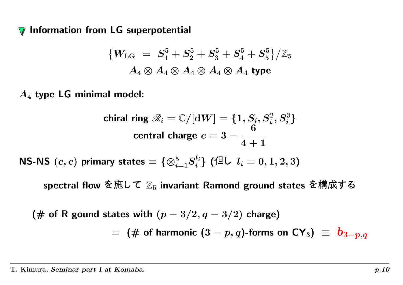Information from LG superpotential  $\sqrt{}$ 

$$
\{W_{\rm LG}\ =\ S_1^5 + S_2^5 + S_3^5 + S_4^5 + S_5^5\}/\mathbb{Z}_5\\ A_4\otimes A_4\otimes A_4\otimes A_4\otimes A_4 \ \text{type}
$$

 $A_4$  type LG minimal model:

$$
\text{chiral ring } \mathscr{R}_i = \mathbb{C}/[\mathrm{d}W] = \{1, S_i, S_i^2, S_i^3\}
$$
\n
$$
\text{central charge } c = 3 - \frac{6}{4+1}
$$

NS-NS  $(c, c)$  primary states  $= \{\otimes_{i=1}^5 S_i^{l_i}\}$   $(\triangleleft {\mathsf{L}}\ \ l_i = 0, 1, 2, 3)$ 

spectral flow を施して  $\mathbb{Z}_5$  invariant Ramond ground states を構成する

(# of R gound states with  $(p-3/2, q-3/2)$  charge) = $\,=\,$   $\,( \#$  of harmonic  $(3-p,q)$ -forms on  $\mathsf{CY}_3)\,\,\equiv\,\, b_{3-p,q}$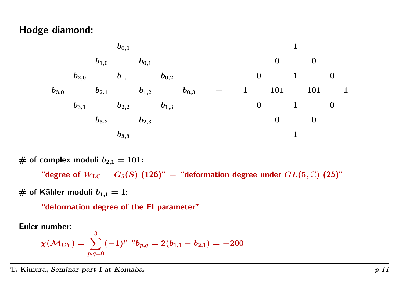#### Hodge diamond:



# of complex moduli  $b_{2,1} = 101$ :

"degree of  $W_{\text{LG}} = G_5(S)$  (126)" – "deformation degree under  $GL(5,\mathbb{C})$  (25)"

# of Kähler moduli  $b_{1,1} = 1$ :

"deformation degree of the FI parameter"

Euler number:

$$
\chi(\mathcal{M}_{\rm CY})=\sum_{p,q=0}^3(-1)^{p+q}b_{p,q}=2(b_{1,1}-b_{2,1})=-200
$$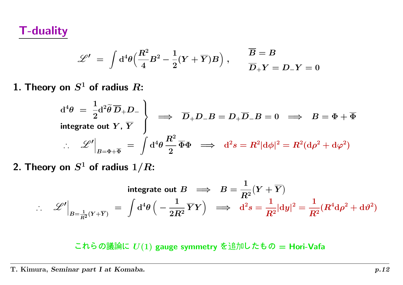T-duality

$$
\mathscr{L}'\;=\;\int\mathrm{d}^4\theta\Big(\frac{R^2}{4}B^2-\frac{1}{2}(Y+\overline{Y})B\Big)\;,\qquad \frac{\overline{B}=B}{\overline{D}_+Y=D_-Y=0}
$$

 $\boldsymbol{1}.$  Theory on  $S^1$  of radius  $R\text{:}$ 

$$
d^4\theta = \frac{1}{2}d^2\tilde{\theta}\overline{D}_+D_-\}
$$
  
integrate out  $Y$ ,  $\overline{Y}$   

$$
\therefore \mathscr{L}'\Big|_{B=\Phi+\overline{\Phi}} = \int d^4\theta \frac{R^2}{2}\overline{\Phi}\Phi \implies d^2s = R^2|d\phi|^2 = R^2(d\rho^2 + d\varphi^2)
$$

2. Theory on  $S^1$  of radius  $1/R\mathrm{:}$ 

$$
\therefore \quad \mathscr{L}'\Big|_{B=\frac{1}{R^2}(Y+\overline{Y})} \; = \; \int \mathrm{d}^4 \theta \, \Big( -\frac{1}{2R^2} \overline{Y} Y \Big) \; \implies \; \mathrm{d}^2 s = \frac{1}{R^2} |\mathrm{d} y|^2 = \frac{1}{R^2} (R^4 \mathrm{d} \rho^2 + \mathrm{d} \vartheta^2)
$$

れらの議論に  $U(1)$  gauge symmetry を追加したもの  $=$  Hori-Vafa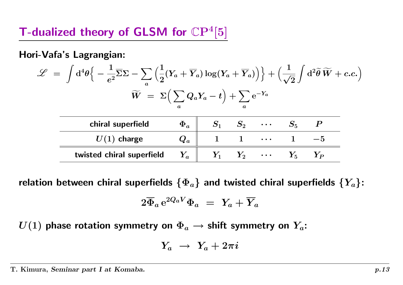## T-dualized theory of GLSM for  $\mathbb{C}\mathrm{P}^4[5]$

Hori-Vafa's Lagrangian:

$$
\mathscr{L} \;=\; \int \mathrm{d}^4 \theta \Big\{ -\frac{1}{e^2} \overline{\Sigma} \Sigma - \sum_a \Big( \frac{1}{2} (Y_a + \overline{Y}_a) \log (Y_a + \overline{Y}_a) \Big) \Big\} + \Big( \frac{1}{\sqrt{2}} \int \mathrm{d}^2 \widetilde{\theta} \, \widetilde{W} + c.c. \Big) \newline \widetilde{W} \;=\; \Sigma \Big( \sum_a Q_a Y_a - t \Big) + \sum_a \mathrm{e}^{-Y_a}
$$

| chiral superfield         | $\Phi_a$                     | 5 <sub>2</sub>     | $\bullet\hspace{0.4mm}\bullet\hspace{0.4mm}\bullet\hspace{0.4mm}\bullet$ |     |
|---------------------------|------------------------------|--------------------|--------------------------------------------------------------------------|-----|
| $U(1)$ charge             | $\boldsymbol{\mathcal{Q}}_a$ |                    | $\blacksquare$                                                           | — h |
| twisted chiral superfield | $\bm{Y}_{\bm{a}}$            | $\boldsymbol{Y}_2$ | $\bullet$ $\bullet$ $\bullet$                                            |     |

relation between chiral superfields  $\{\Phi_a\}$  and twisted chiral superfields  $\{Y_a\}$ :

$$
2\overline{\Phi}_a\,{\rm e}^{2Q_aV}\Phi_a\ =\ Y_a+\overline{Y}_a
$$

 $U(1)$  phase rotation symmetry on  $\Phi_a \rightarrow$  shift symmetry on  $Y_a$ :

$$
Y_a\;\rightarrow\;Y_a+2\pi i
$$

#### T. Kimura, Seminar part I at Komaba.  $p.13$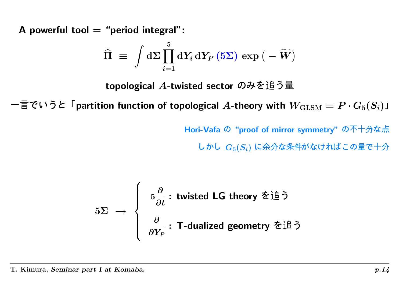A powerful tool  $=$  "period integral":

$$
\widehat{\Pi} \,\,\equiv\,\,\int \mathrm{d} \Sigma \prod_{i=1}^5 \mathrm{d} Y_i \, \mathrm{d} Y_P \left(5 \Sigma \right) \, \exp \big( - \widetilde{W} \big)
$$

topological  $A$ -twisted sector のみを追う量

言でいうと「partition function of topological  $A$ -theory with  $W_{\text{GLSM}} = P \cdot G_5(S_i)$ 」<br>Hori-Vafa の"proof of mirror symmetry" の不十分な点<br>しかし  $G_5(S_i)$  に余分な条件がなければこの量で十分

Hori-Vafa の"proof of mirror symmetry" の不十分な点

かし  $G_5(S_i)$  に余分な条件がなければこの量で十

$$
5\Sigma \rightarrow \left\{\begin{array}{l} 5\frac{\partial}{\partial t} : \text{ twisted LG theory } \hat{\Sigma} \dot{\Xi} \\ \frac{\partial}{\partial Y_P} : \text{T-dualized geometry } \hat{\Sigma} \dot{\Xi} \tilde{\Xi} \end{array}\right.
$$
  
rt I at Komaba.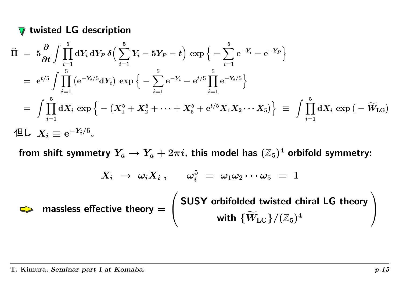### twisted LG description

$$
\hat{\Pi} = 5 \frac{\partial}{\partial t} \int \prod_{i=1}^{5} dY_i dY_P \delta \Big( \sum_{i=1}^{5} Y_i - 5Y_P - t \Big) \exp \Big\{ - \sum_{i=1}^{5} e^{-Y_i} - e^{-Y_P} \Big\}
$$
\n
$$
= e^{t/5} \int \prod_{i=1}^{5} (e^{-Y_i/5} dY_i) \exp \Big\{ - \sum_{i=1}^{5} e^{-Y_i} - e^{t/5} \prod_{i=1}^{5} e^{-Y_i/5} \Big\}
$$
\n
$$
= \int \prod_{i=1}^{5} dX_i \exp \Big\{ - (X_1^5 + X_2^5 + \dots + X_5^5 + e^{t/5} X_1 X_2 \dots X_5) \Big\} \equiv \int \prod_{i=1}^{5} dX_i \exp \big( - \widetilde{W}_{\text{LG}} \big)
$$
\n
$$
\text{4L} \quad X_i \equiv e^{-Y_i/5}.
$$

from shift symmetry  $Y_a \rightarrow Y_a + 2\pi i$ , this model has  $(\mathbb{Z}_5)^4$  orbifold symmetry:

$$
X_i\;\rightarrow\;\omega_i X_i\;,\quad\quad \omega_i^5\;=\;\omega_1 \omega_2 \cdots \omega_5\;=\;1
$$

massless effectivee theory  $=\left(\begin{array}{c} {\textsf{SUSY}} \text{ orbifolded twisted chiral LG theory}\[1mm] \text{with } \{\widetilde{W}_{\text{LG}}\}/(\mathbb{Z}_5)^4 \end{array}\right)$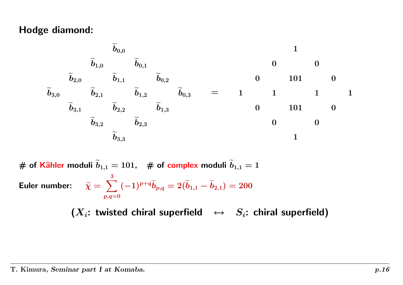#### Hodge diamond:

$$
\begin{array}{ccccccccc}\n&\widetilde{b}_{0,0}&&&\cr\widetilde{b}_{1,0}&&\widetilde{b}_{0,1}&&&0&0\cr\widetilde{b}_{2,0}&&\widetilde{b}_{1,1}&&\widetilde{b}_{0,2}&&&0&101&0\cr\widetilde{b}_{3,0}&&\widetilde{b}_{2,1}&&\widetilde{b}_{1,2}&&\widetilde{b}_{0,3}&&=&1&1&1&1&1\cr\widetilde{b}_{3,1}&&\widetilde{b}_{2,2}&&\widetilde{b}_{1,3}&&&0&101&0\cr&&&&\widetilde{b}_{3,2}&&\widetilde{b}_{2,3}&&&0&0\cr&&&&&&0&0\end{array}
$$

 $\#$  of Kähler moduli  $\widetilde{b}$  $\widetilde{b}_{1,1}=101$ , # of complex moduli  $\widetilde{b}$  $b_{1,1}=1$ Euler number: r number:  $\qquad \widetilde{\chi} = \; \sum \limits$  $\sum_{i=1}^3\,(-1)^{p+q}\widetilde{b}$  $p,q=0$  $\widetilde{b}_{p,q}=2(\widetilde{b}% ,\widetilde{b}_{p,q})=2\widetilde{b}_{p,q} \label{bq}%$  $\widetilde{b}_{1,1}-\widetilde{b}$  $b_{2,1})=200$ 

 $(X_i:$  twisted chiral superfield  $\leftrightarrow$   $S_i:$  chiral superfield)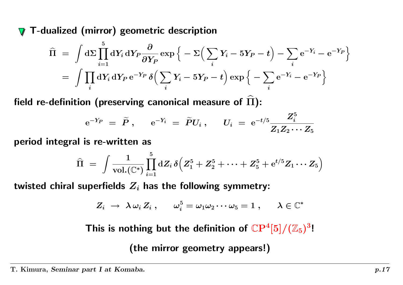T-dualized (mirror) geometric description  $\sqrt{}$ 

$$
\widehat{\Pi} = \int d\Sigma \prod_{i=1}^{5} dY_i dY_P \frac{\partial}{\partial Y_P} \exp \Big\{ -\Sigma \Big( \sum_i Y_i - 5Y_P - t \Big) - \sum_i e^{-Y_i} - e^{-Y_P} \Big\}
$$
\n
$$
= \int \prod_i dY_i dY_P e^{-Y_P} \delta \Big( \sum_i Y_i - 5Y_P - t \Big) \exp \Big\{ - \sum_i e^{-Y_i} - e^{-Y_P} \Big\}
$$

field re-definition (preserving canonical measure of  $\widehat\Pi$ ):

$$
{\rm e}^{-Y_P} \;=\; \widetilde{P}\;,\quad \ \ {\rm e}^{-Y_i} \;=\; \widetilde{P} U_i\;,\quad \ \ U_i \;=\; {\rm e}^{-t/5} \frac{Z_i^5}{Z_1 Z_2 \cdots Z_5}
$$

period integral is re-written as

$$
\widehat{\Pi} \;=\; \int \frac{1}{\mathrm{vol.}(\mathbb{C}^*)} \prod_{i=1}^5 \mathrm{d} Z_i \, \delta\Big(Z_1^5 + Z_2^5 + \cdots + Z_5^5 + \mathrm{e}^{t/5} Z_1 \cdots Z_5 \Big)
$$

twisted chiral superfields  $\boldsymbol{Z_i}$  has the following symmetry:

$$
Z_i \ \rightarrow \ \lambda \, \omega_i \, Z_i \, , \qquad \omega_i^5 = \omega_1 \omega_2 \cdots \omega_5 = 1 \ , \qquad \lambda \in \mathbb{C}^*
$$

This is nothing but the definition of  $\mathbb{C}\mathrm{P}^4[5]/(\mathbb{Z}_5)^3!$ 

(the mirror geometry appears!)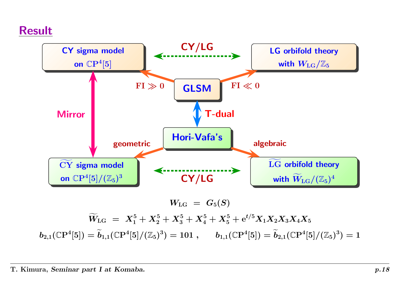## Result



 $\boldsymbol{W}_1$  $\widetilde{\phantom{m}}$  $\widetilde{W}_{\rm LG} \,\;=\;\; X_{1}^{5} + X_{2}^{5} + X_{3}^{5} + X_{4}^{5} + X_{5}^{5} + \mathrm{e}^{t/5} X_{1} X_{2} X_{3} X_{4} X_{5}$  $b_{2,1}(\mathbb{C}\mathrm{P}^4[5])=\widetilde{b}$  $\widetilde{b}_{1,1}(\mathbb{C}\mathrm{P}^4[5]/(\mathbb{Z}_5)^3) = 101 \; , \qquad b_{1,1}(\mathbb{C}\mathrm{P}^4[5]) = \widetilde{b}$  $b_{2,1}(\mathbb{C}\mathrm{P}^4[5]/(\mathbb{Z}_5)^3)=1$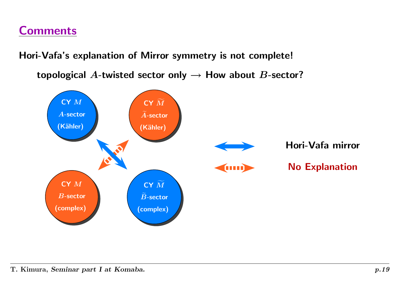## **Comments**

Hori-Vafa's explanation of Mirror symmetry is not complete!

topological A-twisted sector only  $\rightarrow$  How about B-sector?

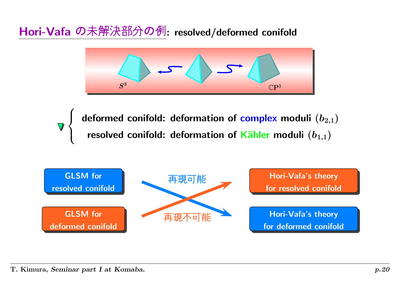Hori-Vafa の未解決部分の例: resolved/deformed conifold



deformed conifold: deformation of complex moduli  $(b_{2,1})$ <br>resolved conifold: deformation of Kähler moduli  $(b_{1,1})$ 

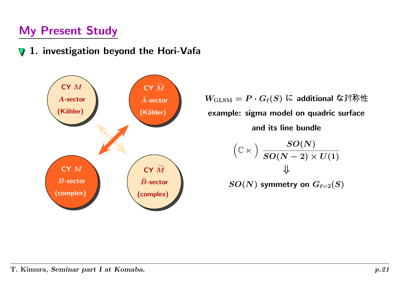## My Present Study

#### 1. investigation beyond the Hori-Vafa  $\bm{\nabla}$



 $W_{\mathrm{GLSM}} = P \cdot G_{\ell}(S)$  に additional な対称 example: sigma model on quadric surface and its line bundle

$$
\begin{array}{c}\n\left(\mathbb{C} \ltimes\right) \frac{SO(N)}{SO(N-2)\times U(1)}\\
\Downarrow\\
SO(N) \text{ symmetry on } G_{\ell=2}(S)\n\end{array}
$$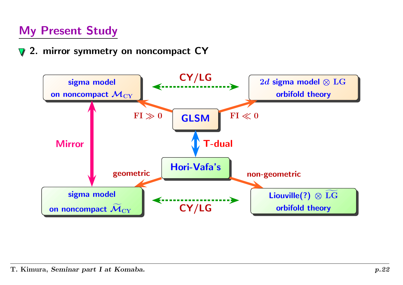## My Present Study

2. mirror symmetry on noncompact CY  $\bm{\nabla}$ 

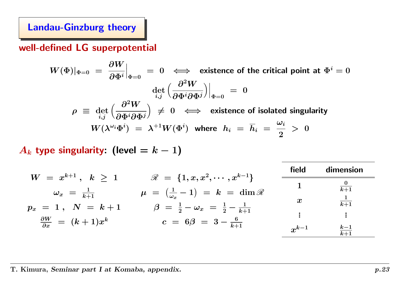Landau-Ginzburg theory

well-defined LG superpotential

 $W(\Phi)|_{\Phi=0} = \frac{\partial W}{\partial \Phi^i}|_{\Phi=0} = 0 \iff$  existence of the critical point at  $\Phi^i = 0$ det  $\det_{i,j} \Big(\frac{\partial^2 W}{\partial \Phi^i \partial \Phi^j}\Big)\Big|_{\Phi=0}~=~0$  $\rho \equiv \det_{i,j} \left( \frac{\partial^2 W}{\partial \Phi^i \partial \Phi^j} \right) \neq 0 \iff$  existence of isolated singularity  $W(\lambda^{\omega_i} \Phi^i) \;=\; \lambda^{+1} W(\Phi^i)$  where  $\;h_i \;=\; \overline{h}_i \;=\; \frac{\omega_i}{2} \;> \;0$ 

 $A_k$  type singularity: (level  $\,=k-1)$ 

|                                            |                                                                    | field            | dimension         |
|--------------------------------------------|--------------------------------------------------------------------|------------------|-------------------|
| $W = x^{k+1} \, , \; \; k \; > \; 1$       | $\mathscr{R} = \{1, x, x^2, \cdots, x^{k-1}\}\$                    |                  | $\frac{0}{k+1}$   |
| $\omega_x$ = $\frac{1}{k+1}$               | $\mu = \left(\frac{1}{\omega_x} - 1\right) = k = \dim \mathscr{R}$ |                  |                   |
| $p_x = 1 \, , \; \; N \; = \; k+1$         | $\beta = \frac{1}{2} - \omega_x = \frac{1}{2} - \frac{1}{k+1}$     | $\boldsymbol{x}$ | $\frac{1}{k+1}$   |
| $\frac{\partial W}{\partial x} = (k+1)x^k$ |                                                                    |                  | ÷.                |
|                                            | $c = 6\beta = 3 - \frac{6}{k+1}$                                   | $x^{k-1}$        | $\frac{k-1}{k+1}$ |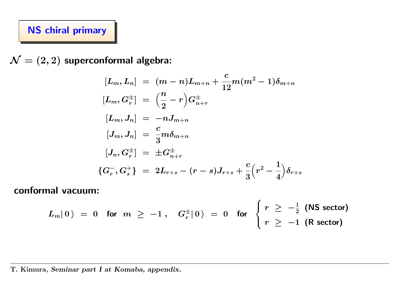### NS chiral primary

 $\mathcal{N}=(2,2)$  superconformal algebra:

$$
[L_m, L_n] = (m - n)L_{m+n} + \frac{c}{12}m(m^2 - 1)\delta_{m+n}
$$
  
\n
$$
[L_m, G_r^{\pm}] = \left(\frac{n}{2} - r\right)G_{n+r}^{\pm}
$$
  
\n
$$
[L_m, J_n] = -nJ_{m+n}
$$
  
\n
$$
[J_m, J_n] = \frac{c}{3}m\delta_{m+n}
$$
  
\n
$$
[J_n, G_r^{\pm}] = \pm G_{n+r}^{\pm}
$$
  
\n
$$
\{G_r^-, G_s^+\} = 2L_{r+s} - (r - s)J_{r+s} + \frac{c}{3}\left(r^2 - \frac{1}{4}\right)\delta_{r+s}
$$

conformal vacuum:

$$
L_m|\hspace{.06cm}0\hspace{.06cm}\rangle\hspace{.2cm} = \hspace{.2cm} 0 \hspace{.2cm}\text{for}\hspace{.2cm} m \hspace{.1cm}\geq\hspace{.1cm} -1\hspace{.1cm},\hspace{.2cm} G_r^\pm|\hspace{.06cm}0\hspace{.06cm}\rangle\hspace{.2cm} = \hspace{.2cm} 0 \hspace{.2cm}\text{for}\hspace{.2cm}\left\{\hspace{.06cm}r \hspace{.06cm}\geq\hspace{.06cm} -\frac{1}{2} \hspace{.1cm} \text{(NS sector)} \hspace{.1cm}\right.
$$

#### T. Kimura, Seminar part I at Komaba, appendix.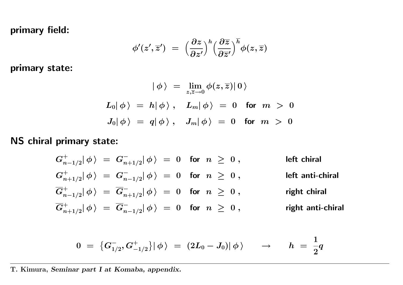primary field:

$$
\phi'(z',\overline{z}') ~=~ \Big(\frac{\partial z}{\partial z'}\Big)^h \Big(\frac{\partial\overline{z}}{\partial \overline{z}'}\Big)^{\overline{h}}\phi(z,\overline{z})
$$

primary state:

$$
\begin{array}{rcl} \left|\,\phi\,\right\rangle\ =\ \lim\limits_{z,\overline{z}\to0}\phi(z,\overline{z})|\,0\,\rangle\\[2mm] L_0|\,\phi\,\rangle\ =\ h|\,\phi\,\rangle\ ,\quad L_m|\,\phi\,\rangle\ =\ 0\quad\text{for}\;\;m\ >\ 0\\[2mm] J_0|\,\phi\,\rangle\ =\ q|\,\phi\,\rangle\ ,\quad J_m|\,\phi\,\rangle\ =\ 0\quad\text{for}\;\;m\ >\ 0 \end{array}
$$

#### NS chiral primary state:

$$
G_{n-1/2}^+|\phi\rangle = G_{n+1/2}^-|\phi\rangle = 0 \quad \text{for} \quad n \ge 0, \qquad \text{left chiral}
$$
\n
$$
G_{n+1/2}^+|\phi\rangle = G_{n-1/2}^-|\phi\rangle = 0 \quad \text{for} \quad n \ge 0, \qquad \text{left anti-chiral}
$$
\n
$$
\overline{G}_{n-1/2}^+|\phi\rangle = \overline{G}_{n+1/2}^-|\phi\rangle = 0 \quad \text{for} \quad n \ge 0, \qquad \text{right chiral}
$$
\n
$$
\overline{G}_{n+1/2}^+|\phi\rangle = \overline{G}_{n-1/2}^-|\phi\rangle = 0 \quad \text{for} \quad n \ge 0, \qquad \text{right anti-chiral}
$$

$$
0 \,\, = \,\, \left\{ G^-_{1/2} , G^+_{-1/2} \right\} \! \left| \, \phi \, \right\rangle \,\, = \,\, (2 L_0 - J_0) \! \left| \, \phi \, \right\rangle \qquad \rightarrow \qquad h \,\, = \,\, \frac{1}{2} q
$$

T. Kimura, Seminar part I at Komaba, appendix.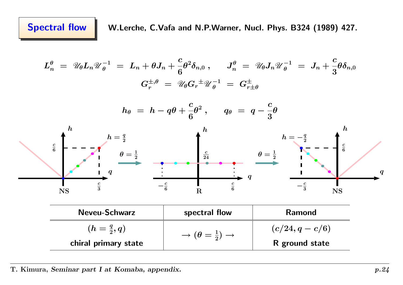$$
L_n^{\theta} = \mathcal{U}_{\theta} L_n \mathcal{U}_{\theta}^{-1} = L_n + \theta J_n + \frac{c}{6} \theta^2 \delta_{n,0} , \qquad J_n^{\theta} = \mathcal{U}_{\theta} J_n \mathcal{U}_{\theta}^{-1} = J_n + \frac{c}{3} \theta \delta_{n,0}
$$
  
\n
$$
G_r^{\pm,\theta} = \mathcal{U}_{\theta} G_r^{\pm} \mathcal{U}_{\theta}^{-1} = G_{r\pm\theta}^{\pm}
$$
  
\n
$$
h_{\theta} = h - q\theta + \frac{c}{6} \theta^2 , \qquad q_{\theta} = q - \frac{c}{3} \theta
$$
  
\n
$$
\frac{c}{6} \leftarrow -\frac{h}{2} = \frac{q}{2} \leftarrow \frac{h}{2} = \frac{h}{2} = -\frac{q}{6} \leftarrow \frac{h}{2} = -\frac{q}{6} \leftarrow \frac{h}{2} = -\frac{q}{6} \leftarrow \frac{h}{2} = -\frac{q}{6} \leftarrow \frac{h}{2} = -\frac{q}{6} \leftarrow \frac{h}{2} = -\frac{q}{6} \leftarrow \frac{h}{2} = -\frac{q}{6} \leftarrow \frac{h}{2} = -\frac{q}{6} \leftarrow \frac{h}{2} = -\frac{q}{6} \leftarrow \frac{h}{2} = -\frac{q}{6} \leftarrow \frac{h}{2} = -\frac{q}{6} \leftarrow \frac{h}{2} = -\frac{q}{6} \leftarrow \frac{h}{2} = -\frac{q}{6} \leftarrow \frac{h}{2} = -\frac{q}{6} \leftarrow \frac{h}{2} = -\frac{q}{6} \leftarrow \frac{h}{2} = -\frac{q}{6} \leftarrow \frac{h}{2} = -\frac{q}{6} \leftarrow \frac{h}{2} = -\frac{q}{6} \leftarrow \frac{h}{2} = -\frac{q}{6} \leftarrow \frac{h}{2} = -\frac{q}{6} \leftarrow \frac{h}{2} = -\frac{q}{6} \leftarrow \frac{h}{2} = -\frac{q}{6} \leftarrow \frac{h}{2} = -\frac{q}{6} \leftarrow \frac{h}{2} = -\frac{q}{6} \leftarrow \frac{h}{2} = -\frac{q}{6} \leftarrow \frac{h}{2} = -\
$$

T. Kimura, Seminar part I at Komaba, appendix.  $p.24$ 

chiral primary state